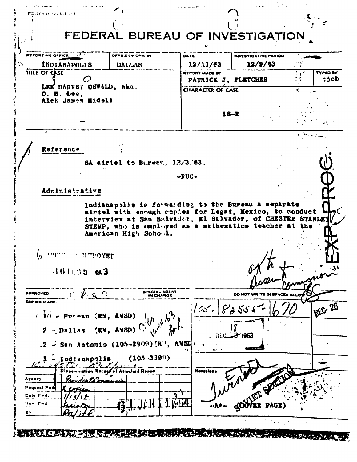| FD-263 (Hev. 5-1.59)<br>FEDERAL BUREAU OF INVESTIGATION                                                                                                                                                                                            |                                                          |                                        |                 |  |  |
|----------------------------------------------------------------------------------------------------------------------------------------------------------------------------------------------------------------------------------------------------|----------------------------------------------------------|----------------------------------------|-----------------|--|--|
| <b>REPORTING OFFICE</b><br>OFFICE OF ORIGIN<br>57<br><b>INDIANAPOLIS</b><br><b>DALLAS</b>                                                                                                                                                          | DATE<br>12/11/63                                         | <b>INVESTIGATIVE PERIOD</b><br>12/9/63 |                 |  |  |
| <b>TITLE OF CASE</b>                                                                                                                                                                                                                               | REPORT MADE BY                                           |                                        | <b>TYPED BY</b> |  |  |
| LEE HARVEY OSWALD, aka.                                                                                                                                                                                                                            | : 3cb<br>PATRICK J. PLETCHER<br><b>CHARACTER OF CASE</b> |                                        |                 |  |  |
| $0.$ H. iee,<br>Alek James Hidell                                                                                                                                                                                                                  |                                                          |                                        |                 |  |  |
|                                                                                                                                                                                                                                                    | $18 - R$                                                 |                                        |                 |  |  |
|                                                                                                                                                                                                                                                    |                                                          |                                        |                 |  |  |
|                                                                                                                                                                                                                                                    |                                                          |                                        |                 |  |  |
| Reference                                                                                                                                                                                                                                          |                                                          |                                        |                 |  |  |
| SA airtel to Bureau, $1.2/3/63$ .                                                                                                                                                                                                                  |                                                          |                                        |                 |  |  |
|                                                                                                                                                                                                                                                    | $-FUC -$                                                 |                                        |                 |  |  |
| Administrative                                                                                                                                                                                                                                     |                                                          |                                        |                 |  |  |
| airtel with enough copies for Legat, Mexico, to conduct<br>interview at San Salvader, El Salvader, of CHESTER STANLEY<br>STEMP, who is employed as a mathematics teacher at the<br>American High Schowl.<br><b>METHOYED</b><br>$361135$ $\omega$ 3 |                                                          |                                        |                 |  |  |
|                                                                                                                                                                                                                                                    |                                                          |                                        |                 |  |  |
| $i \nmid a$<br>SIECIAL AGENT<br><b>APPROVED</b><br>IN CHARGE<br><b>COPIES MADE:</b>                                                                                                                                                                |                                                          | DO NOT WRITE IN SPACE                  |                 |  |  |
| $(10 - P0)$ = $(RV, AUSD)$                                                                                                                                                                                                                         | $ 25 - 8355$                                             |                                        | REG 26          |  |  |
| $\sqrt{v}$ is $\frac{1}{2}$<br>(RM, ANSD) <sup>(</sup> )<br>$2 -$ Dallas                                                                                                                                                                           |                                                          |                                        |                 |  |  |
|                                                                                                                                                                                                                                                    |                                                          | $-2$ 1963                              |                 |  |  |
| .2 $\sim$ San Autonio (105-2909) (R'), AMSE                                                                                                                                                                                                        |                                                          |                                        |                 |  |  |
| (105.3399)<br>- Indianapolis                                                                                                                                                                                                                       |                                                          |                                        |                 |  |  |
| of Attached Report<br>Agency<br>renderthema                                                                                                                                                                                                        | <b>Notations</b>                                         |                                        |                 |  |  |
| Pequest Redi<br>Date Fwd.                                                                                                                                                                                                                          | ふい                                                       |                                        |                 |  |  |
| How Fwd.                                                                                                                                                                                                                                           |                                                          |                                        |                 |  |  |
| Bγ                                                                                                                                                                                                                                                 |                                                          |                                        |                 |  |  |
|                                                                                                                                                                                                                                                    |                                                          |                                        |                 |  |  |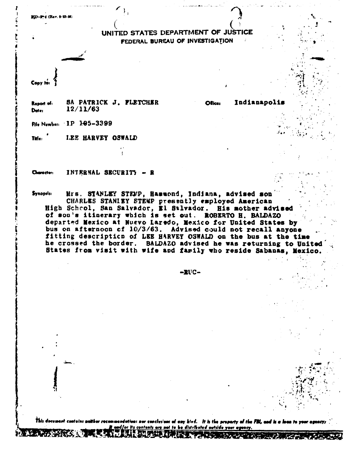## UNITED STATES DEPARTMENT OF JUSTICE FEDERAL BUREAU OF INVESTIGATION

Indianapolis

Ofice:

Copy to

**RD-9-4 (Rev. 9-23-86)** 

SA PATRICK J. FLETCHER Report of:  $12/11/63$ Date:

File Number: IP 105-3399

Title: LEE HARVEY OSWALD

Character: INTERNAL SECURITY - R

Mrs. STANLEY STEMP, Hammond, Indiana, advised son **Synopsis:** CHARLES STANIEY STEMP presently employed American High Scheol, San Salvador, El Salvador. His mother advised of son's itinerary which is set out. ROBERTO H. BALDAZO departed Mexico at Nuevo Laredo, Mexico for United States by bus on afternoon of 10/3/63. Advised could not recall anyone fitting description of LEE HARVEY OSWALD on the bus at the time he crossed the border. BALDAZO advised he was returning to United States from visit with wife and family who reside Sabanas, Mexico.

-RUC-

ion: nor conclusions of any kind. It is the property of the FBL, and is a loca to your agency; <u>ad/or its contents are not to be distributed outside your agency.</u>

USE SUPER ENTRE EN 1990 DE LA PRODUCTION DE LA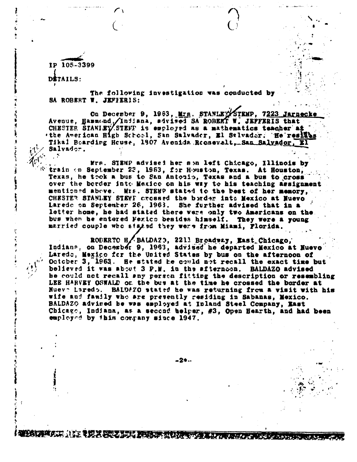**IP 105-3399 DITAILS:** 

**i** 

**,** 

**1** 

f! *R* 

**The following investigation was conducted by SA ROBERT W. JET/ERIS:** 

■

On December 9, 1963, Mrs. STANLE STEMP, 7223 Jarneck Avenue, Bammand / Indiana, advised SA ROBERT W. JEFFERIS that CHESTER STANIEY/STEFF is employed as a mathematics teacher at **'the American High School, San Salvador, El Stivador. He resites** Tikal Boarding House, 1907 Avenida.Rcosevelt.San\_Salvador. Salvador.  $\left\{ \begin{array}{c} \mathcal{N}_{\text{eff}}(\mathbf{r}) \rightarrow \mathcal{N}_{\text{eff}} \end{array} \right.$ **\_** 

**<sup>4</sup>.ku' '** ✓ **Kra. SIM advised her sm left Chicago, Illinois by**  train 4:m September 22, 1963, for Hewiston, Texas. At Houston, Texas, he took a bus to San Antonio, Texas and a bus to cross **over the border intv Mexico on his way to his teaching assignment**  mentioned above. WIE. STENP stated to the best of her memory, **C CHESTE1 STANLEY STEYF crossed the trader into Mexico at Nuevo <sup>i</sup>Laredo no September 26, 1963. She further advised that in a letter home, he bad stated there were only two Americans on the**  bus when be entered Ferics besides himself. They were a young **married couple who ei sisd they were from Miami, Florida.** 

ROBERTO H , BALDAZO, 2211 Broadway, East\_Chicago, Indiana, on December 9, 1963, advised he departed Mexico at Nuevo **• Laredo, Mexico for the United. States by bus on the afternoon of October 3, 1963.** He stated he could not recall the exact time but **!) believed it was ablvt 3 P.M. in the afternoon. BALDAZO advised 'r be could not recall say perste\* fitting the description or resembling LEE HARVEY OSWALD OE the bus at the time he crossed the border at Nuev7 Lsredn. BALW.70 stated he was returning from a visit with his wife and family who. are presently residing in Sabanas, Mexico. BALDAZO advised be was esployed at Inland Steel Company, East Chicago, Indiana, as a second helper, #3, Open Hearth, and had been emplovd by this cocpany since 1947.** 

**-2\*--** 

**itevapatwAlitssilm=roxamerrszwernauresameme**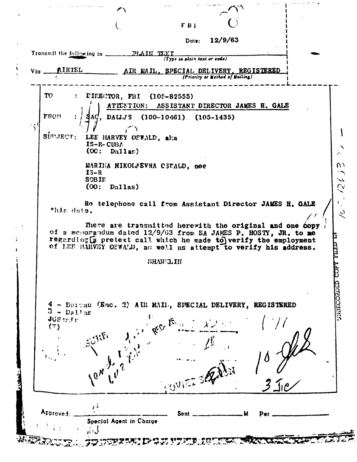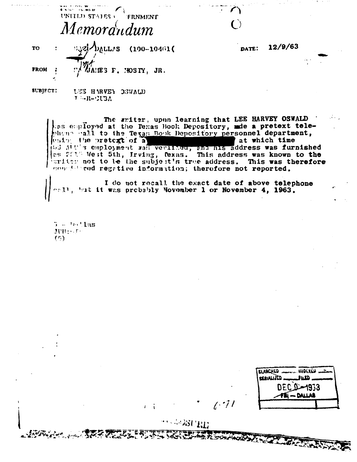$1.6$  ,  $100.27$ UNITED STATES FRNMENT Memorandum

**DVLTV2 TO**  $(100 - 10461)$ **FROM** JANES F. NOSTY, JR.

**SUBJECT:** UEE HARVEY OBWALD  $T = -R - 2UBA$ 

> The writer, upon learning that LEE HARVEY OSWALD as employed at the Texas Book Depository, ade a pretext telephene hall to the Texas Book Depository personnel department, using the pretext of a at which time at which time  $\left\{\cos 2\pi t\right\}$  West 5th, Irving, Texas. This address was known to the writer not to be the subject's true address. This was therefore constanted regative information; therefore not reported.

I do not recall the exact date of above telephone<br>"I', 'nt it was probably November 1 or November 4, 1963.

 $5 - 16.113$ JUH: Th  $(5)$ 

> SERIALIZED . 1933 - DALLAR

12/9/63

DATE:

 $\mathbf{r}$  :

 $\left( \cdot \right)$ 

**A. P. WORKWAY**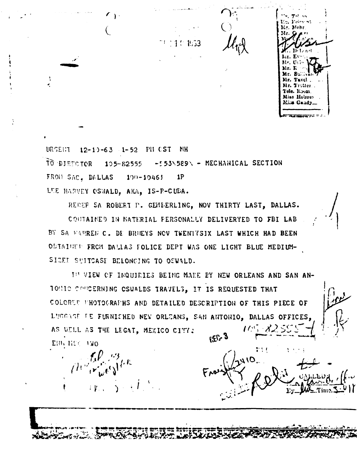

URGENT 12-10-63 1-52 PM CST **NH** 10 DIRECTOR 105-82555 -553\589\ - MECHANICAL SECTION FRON SAC. DALLAS **1P**  $100 - 10461$ LEE HARVEY OSWALD, AKA, IS-P-CUBA.

 $\left($ 

÷

REDEF SA ROBERT P. GEMEERLING, NOV THIRTY LAST, DALLAS.

COUTAINED IN MATERIAL PERSONALLY DELIVERYED TO FBI LAB BY SA WARREN C. DE BRUEYS NOV TWENTYSIX LAST WHICH HAD BEEN OBIAINED FROM DALIAS FOLICE DEPT WAS ONE LIGHT BLUE MEDIUM-SIZED SUITCASE BELONGING TO OSWALD.

IN VIEW OF INQUIRIES BEING MADE BY NEW ORLEANS AND SAN AN-TONIC CONCERNING CSWALDS TRAVELS, IT IS REQUESTED THAT COLORED PHOTOGRAPHS AND DETAILED DESCRIPTION OF THIS PIECE OF LUCCASE PE FURNISHED NEW ORLEANS, SAN ANTONIO, DALLAS OFFICES, AS WELL AS THE LEGAT, MEXICO CITY:  $\epsilon$   $\Omega_{29}$ EHR HER 1WO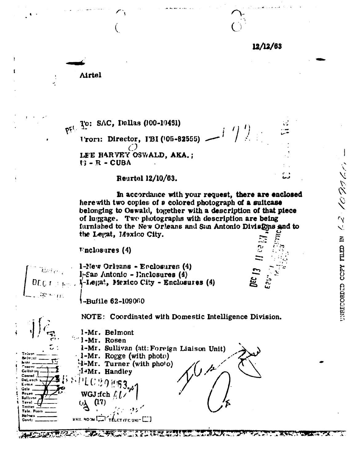$12/12/63$ 

**Airtel** 

Prt. To: SAC, Dallas (100-10431) Vrom: Director, IBI (105-82555)  $\bigcirc$ LEE HARVEY OSWALD, AKA.;  $13 - R - CUBA$ 

## **Reurtel 12/10/63.**

In accordance with your request, there are enclosed here with two copies of a colored photograph of a suitcase belonging to Oswald, together with a description of that piece of luggage. Two photographs with description are being furnished to the New Orleans and Sun Antonio Divisions and to the Legat, Mexico City.

**Finclosures**  $(4)$ 

双心死



Telson

Collar: Conrad DeL oach Evans Gale

Rosen Sullivan

Tuvel .<br>Fotte Tele. Room **Holy** 

Gandy

Belmont. hindr.

1-New Orleans - Enclosures (4) 1-San Antonio - Enclosures (4)  $\mathbf{l}'$ -Legat, Mexico City - Enclosures (4)

-Bufile 62-109060

NOTE: Coordinated with Domestic Intelligence Division.

1-Mr. Belmont l-Mr. Rosen 1-Mr. Sullivan (att: Foreign Liaison Unit)  $1-Mr$ . Rogge (with photo) 4-Mr. Turner (with photo)  $1/t$  $1-Mr$ . Handley WGJ:fch  $f(t)$  $(17)$ MAIL HOOM LA TELET FEE UNI-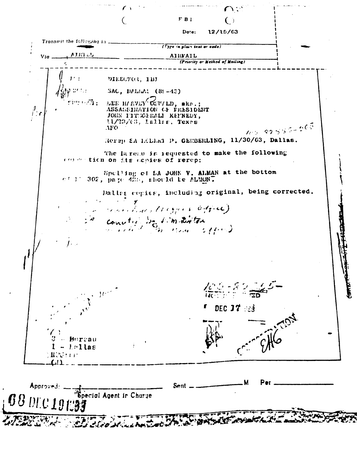FB1 Dote: 12/15/63 Transmit the following in . (Type in plain text of code) AJRI UL AIRFAIL Via. (Priority or Method of Mailing) DIRECTOR, IBJ SAC, DALIME (89-43) LEE HIRVLY OSWILD, ake.; 竹の五の面。  $\frac{\partial}{\partial x}$ ASSASSINATION OF PRESIDENT JOHN FITEGERALI KEFNEDY,  $11/22/(3, 1$ allis, Texes  $705 - 89.555 + 265$  $\Lambda$ FO Rerep EA LODEA P. GEMBERLING, 11/30/63, Dallas. The lareau is requested to make the following concention on its copies of rerep: Spelling of SA JOHN V. ALMAN at the bottom  $c \in \mathbb{R}^2$  302, page 425, should be ALMON. Dallas copies, including original, being corrected. maritims (10 gains 6 free) converted by sim distance  $\mathcal{W}^{(i)}$  $F$  DEC  $J7 \approx 3$ – Bursau  $-1.0$ llas 1 Maria 19 м Sent Approved. .<br>Special Agent in Charge DEC 1918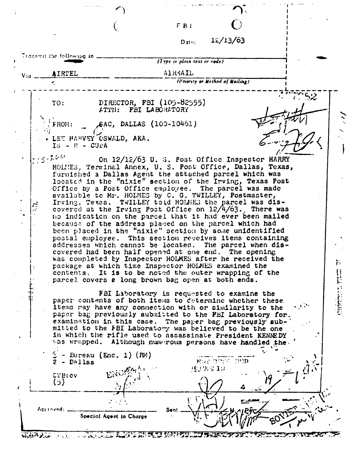$F(B)$  **C** 

 $\overline{(\cdot)}$ 

12/13/63 Date:

|      | Transmit the following in $\frac{1}{2}$         |                                                                                                                                                                                                                                                                                                                                                                                                                                                                                                                                                                                                                                                                                                                                                                                                                                                                                                                                                                                                                                                                                                                                                                                       | (1 ypc in plain text or code)   |  |
|------|-------------------------------------------------|---------------------------------------------------------------------------------------------------------------------------------------------------------------------------------------------------------------------------------------------------------------------------------------------------------------------------------------------------------------------------------------------------------------------------------------------------------------------------------------------------------------------------------------------------------------------------------------------------------------------------------------------------------------------------------------------------------------------------------------------------------------------------------------------------------------------------------------------------------------------------------------------------------------------------------------------------------------------------------------------------------------------------------------------------------------------------------------------------------------------------------------------------------------------------------------|---------------------------------|--|
| Via_ | AIRTEL                                          |                                                                                                                                                                                                                                                                                                                                                                                                                                                                                                                                                                                                                                                                                                                                                                                                                                                                                                                                                                                                                                                                                                                                                                                       | Alk4AIL                         |  |
|      |                                                 |                                                                                                                                                                                                                                                                                                                                                                                                                                                                                                                                                                                                                                                                                                                                                                                                                                                                                                                                                                                                                                                                                                                                                                                       | (Priority or Method of Mailing) |  |
| ΞÝ.  | TO:<br>FROM:<br>$IS - R - CUEA$<br>$7/5 - 7.66$ | DIRECTOR, FBI (105-82555)<br>ATTN: FBI LABORATORY<br>£AC, DALLAS (100-10461)<br>. LEE HARVEY OSWALD, AKA.<br>On 12/12/63 U. S. Post Office Inspector HARRY<br>HOLMES, Terminal Annex, U. S. Post Office, Dallas, Texas,<br>furnished a Dallas Agent the attached parcel which was<br>located in the "nixie" section of the Irving, Texas Post<br>Office by a Post Office employee. The parcel was made<br>available to Mr. HOLMES by C. G. TWILLEY, Postmaster,<br>Irving, Texas. TWILLEY told HOLMES the parcel was dis-<br>covered at the Irving Post Office on $12/4/63$ . There was<br>no indication on the parcel that it had ever been mailed<br>because of the address placed on the parcel which had<br>been placed in the "nixie" section by some unidentified<br>postal employee. This section receives items containing<br>addresses which cannot be located. The parcel when dis-<br>covered had been half opened at one end. The opening<br>was completed by Inspector HOLMES after he received the<br>package at which time Inspector HOLMES examined the<br>contents. It is to be noted the outer wrapping of the<br>parcel covers a long brown bag open at both ends. |                                 |  |
|      | - Dallas<br>CTB:cv                              | FBI Laboratory is requested to examine the<br>paper contents of both items to determine whether these<br>items may have any connection with or similarity to the<br>paper bag previously submitted to the FEI Laboratory for.<br>examination in this case. The paper bag previously sub-<br>mitted to the FBI Laboratory was believed to be the one<br>in which the rifle used to assassinate President KENNEDY<br>thas wrapped. Although numerous persons have handled the.<br>- Bureau (Enc. 1) $(RM)$                                                                                                                                                                                                                                                                                                                                                                                                                                                                                                                                                                                                                                                                              | NOT DUCK CHID<br>193900.10      |  |
|      | (ز)<br>Aprinved:                                | Ser<br>Special Agent in Charge                                                                                                                                                                                                                                                                                                                                                                                                                                                                                                                                                                                                                                                                                                                                                                                                                                                                                                                                                                                                                                                                                                                                                        |                                 |  |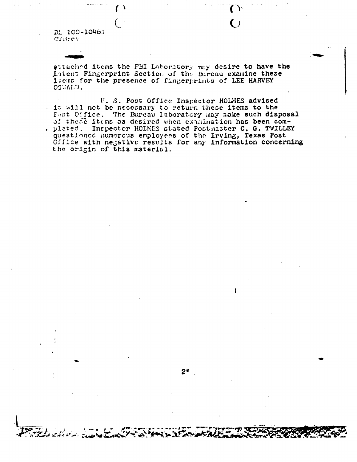DL 100-10461 CTB:cv

attached items the FBI Laboratory may desire to have the intent Fingerprint Section of the Bureau examine these leems for the presence of fingerprints of LEE HARVEY OSWALD.

U. S. Post Office Inspector HOLMES advised It will not be necessary to return these items to the Fost Office. The Bureau Isboratory may make such disposal of these items as desired when examination has been com-, pleted. Inspector HOLMES stated Postmaster C. G. TWILLEY questioned numerous employees of the Irving, Texas Post<br>Office with negative results for any information concerning the origin of this material.

 $2*$ 

۱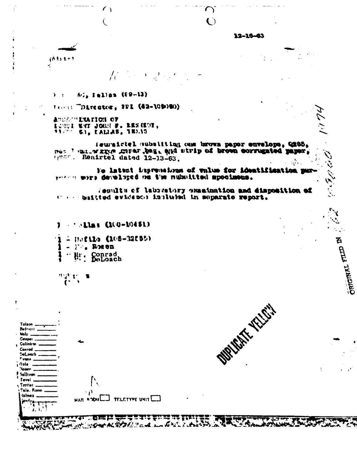$12 - 16 - 63$ 

 $\sum_{i=1}^{n}$  $\ddot{\mathbf{C}}$ 

rit ti hy ×.

 $\frac{1}{C}$ 

A:, Iallas (89-13)  $\lambda$  :

 $\sqrt{ }$ 

€

Facets "Director, FBI (42-109090)

ASSASSEMENTOS OF LOWER MAT JOHN F. RESERVE,

leuraictel substiting cam brown paper envelope, Q285, nes ' entier graper bag, aud strip of brown corrugated paper,  $\mathcal{L}^{\text{max}}$ 

No latent impremeinan of value for identification pur presses more developed on the nubsitited apocinous.

le moltiscente has nottanisare vittercusi le silvae; biilted evidence insluted in suparate report.

 $\cdots$  allas (100-10451)

**Untils (105-32555) Fr. Rosen** Conrad<br>DeLoach  $\bullet$ 

11:25 Lt

 $\mathbf{C}$ 

魚

Tolson **Belnant Mohr** Cemper **Collohan** Contad DeLouch **Cyane Gole Rosen** Sullivon Tavel. Tretter Tale, Room **folmes TELETYPE UNIT MAIL ROOM** J. I والأخير أمستنكر خبججو شا न मुख्य राज 

**OURIST TO CHEF** 

**Carpenter** 

**ASTALISIO** 

PÝ.

**פעופומעז**ד בעדם <sub>א</sub>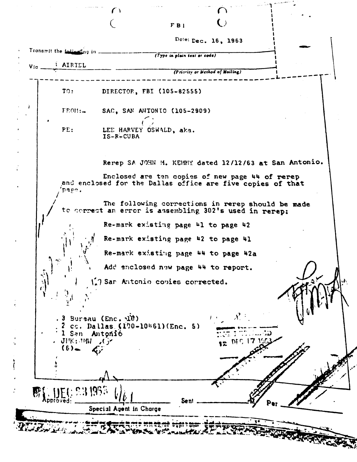$F B1$ 

Dote: Dec. 16, 1963

Transmit the following in ------(Type in plain text or code) **AIRTEL** Via. (Priority or Method of Mailing) TO: DIRECTOR, FBI (105-82555)  $FROII:$ SAC, SAN ANTONIO (105-2909) PE: LEE HARVEY OSWALD, aka.  $IS-R-CUBA$ Rerep SA JOHN M. KEMMY dated 12/12/63 at San Antonio. Enclosed are ten copies of new page 44 of rerep and enclosed for the Dallas office are five copies of that page. The following corrections in rerep should be made to correct an error is assembling 302's used in rerep: Re-mark existing page 41 to page 42 Re-mark existing page #2 to page #1 Re-mark existing page 44 to page 42a Add enclosed new page 44 to report. Sar Antonio copies corrected.  $3$  Bureau (Enc.  $\overrightarrow{uv}$ )  $2$  cc. Dallas (190-10461) (Enc. 5) 1 San Antonio 12 DIC 17 - JFK:『小 』( )  $(6)$ **Sent** Special Agent in Charge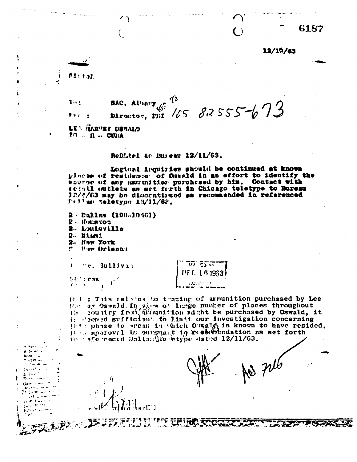6187

12/18/63

Ads top

 $\mathbf{I}$ 

 $1<sub>1</sub>$ **SAC. Albary** Director, FBI 105 82555-673

LET HARVEE OSVALD  $2R \times R$  . CUBA

ReDLiel to Buseau 12/11/63.

Logical irquiries should be continued at known places of residence of Ostald in an effort to identify the source of any name inition purchased by him. Contact with retall outlets as set ferth in Chicago teletype to Bureau 32/4/63 may be disecutivaed as recommended in referenced Frilas teletype 12/11/62.

2 - Pallas (100-10461)  $2 -$ Houston 2. Louisville 2- Eismi 2- New York

**P. Maw Orleans** 

"r. 3ullivan

**NUMBER**  $\mathbf{r}$  $\mathbf{r}$ 

 $M$   $E$   $\overline{2}$   $\overline{2}$   $\overline{2}$ LIE G. L. 6 1963 aor n

Hot : This relates to tracing of ammunition purchased by Lee Here ay Oswald, In view of Insge number of places throughout the country from amount tion might be purchased by Oswald, it is demed sufficient to limit our investigation concerning (101) phase to areas in which Oswald is known to have resided. in afferenced Dallachte etype dated 12/11/63.

**CITIZEN RECOGNIZIONAL** 

r [[]]

 $\tilde{\gamma}$  ,

**THE CARD TO THE THEORY**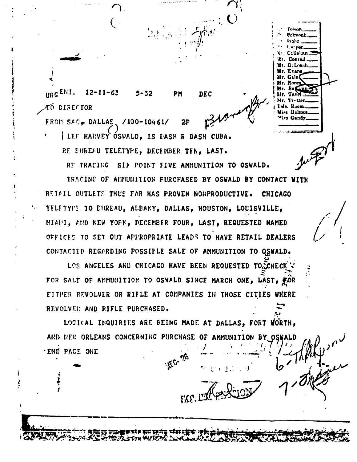URG ENT.  $12 - 11 - 63$ **DEC** 5-32 PM AÓ DIRECTOR

FROM SAC, DALLAS /100-10461/  $2P$ LEF HARVEY ÓSWALD, IS DASH R DASH CUBA.

RE EUREAU TELÉTYPE, DECEMBER TEN, LAST.

RE TRACING SIY POINT FIVE AMMUNITION TO OSWALD.

: Lliat.e.n Conrad DeLeach

Tele. Room Mies Holmes iss Gandy

TRACING OF ANNUMITION PURCHASED BY OSWALD BY CONTACT WITH RETAIL OUTLETS THUS FAR HAS PROVEN NONPRODUCTIVE. **CHICAGO** TELFTYPE TO BHREAU, ALBANY, DALLAS, HOUSTON, LOUISVILLE, MIAMI, AND NEW YOFK, DECEMBER FOUR, LAST, REQUESTED NAMED OFFICES TO SET OUT APPROPRIATE LEADS TO HAVE RETAIL DEALERS CONTACTED REGARDING POSSIELE SALE OF AMMUNITION TO OSWALD.

LOS ANGELES AND CHICAGO HAVE BEEN REQUESTED TO CCHECK FOR SALE OF ANNUNITION TO OSWALD SINCE MARCH ONE, LAST, FOR EITHER REVOLVER OR RIFLE AT COMPANIES IN THOSE CITIES WHERE REVOLVER AND RIFLE PURCHASED.

LOGICAL INQUIRIES ARE BEING MADE AT DALLAS, FORT WORTH, AND NEW ORLEANS CONCERNING PURCHASE OF AMMUNITION BY OSWALD . END PAGE ONE